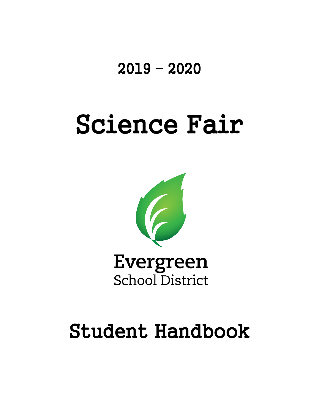## 2019 – 2020

# Science Fair



## Student Handbook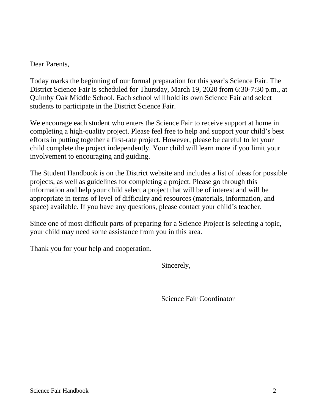Dear Parents,

Today marks the beginning of our formal preparation for this year's Science Fair. The District Science Fair is scheduled for Thursday, March 19, 2020 from 6:30-7:30 p.m., at Quimby Oak Middle School. Each school will hold its own Science Fair and select students to participate in the District Science Fair.

We encourage each student who enters the Science Fair to receive support at home in completing a high-quality project. Please feel free to help and support your child's best efforts in putting together a first-rate project. However, please be careful to let your child complete the project independently. Your child will learn more if you limit your involvement to encouraging and guiding.

The Student Handbook is on the District website and includes a list of ideas for possible projects, as well as guidelines for completing a project. Please go through this information and help your child select a project that will be of interest and will be appropriate in terms of level of difficulty and resources (materials, information, and space) available. If you have any questions, please contact your child's teacher.

Since one of most difficult parts of preparing for a Science Project is selecting a topic, your child may need some assistance from you in this area.

Thank you for your help and cooperation.

Sincerely,

Science Fair Coordinator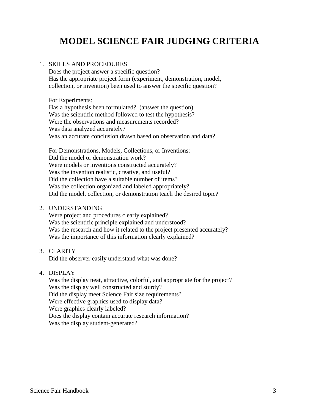## **MODEL SCIENCE FAIR JUDGING CRITERIA**

#### 1. SKILLS AND PROCEDURES

Does the project answer a specific question? Has the appropriate project form (experiment, demonstration, model, collection, or invention) been used to answer the specific question?

For Experiments:

Has a hypothesis been formulated? (answer the question) Was the scientific method followed to test the hypothesis? Were the observations and measurements recorded? Was data analyzed accurately? Was an accurate conclusion drawn based on observation and data?

For Demonstrations, Models, Collections, or Inventions: Did the model or demonstration work? Were models or inventions constructed accurately? Was the invention realistic, creative, and useful? Did the collection have a suitable number of items? Was the collection organized and labeled appropriately? Did the model, collection, or demonstration teach the desired topic?

#### 2. UNDERSTANDING

Were project and procedures clearly explained? Was the scientific principle explained and understood? Was the research and how it related to the project presented accurately? Was the importance of this information clearly explained?

#### 3. CLARITY

Did the observer easily understand what was done?

#### 4. DISPLAY

Was the display neat, attractive, colorful, and appropriate for the project? Was the display well constructed and sturdy? Did the display meet Science Fair size requirements? Were effective graphics used to display data? Were graphics clearly labeled? Does the display contain accurate research information? Was the display student-generated?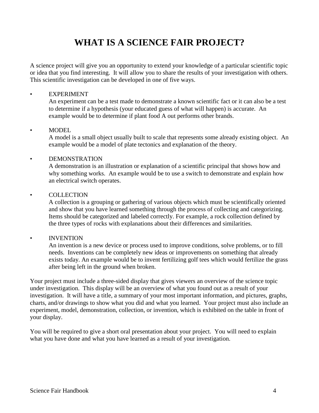## **WHAT IS A SCIENCE FAIR PROJECT?**

A science project will give you an opportunity to extend your knowledge of a particular scientific topic or idea that you find interesting. It will allow you to share the results of your investigation with others. This scientific investigation can be developed in one of five ways.

#### **EXPERIMENT**

An experiment can be a test made to demonstrate a known scientific fact or it can also be a test to determine if a hypothesis (your educated guess of what will happen) is accurate. An example would be to determine if plant food A out performs other brands.

#### • MODEL

A model is a small object usually built to scale that represents some already existing object. An example would be a model of plate tectonics and explanation of the theory.

#### **DEMONSTRATION**

A demonstration is an illustration or explanation of a scientific principal that shows how and why something works. An example would be to use a switch to demonstrate and explain how an electrical switch operates.

#### **COLLECTION**

A collection is a grouping or gathering of various objects which must be scientifically oriented and show that you have learned something through the process of collecting and categorizing. Items should be categorized and labeled correctly. For example, a rock collection defined by the three types of rocks with explanations about their differences and similarities.

#### • INVENTION

An invention is a new device or process used to improve conditions, solve problems, or to fill needs. Inventions can be completely new ideas or improvements on something that already exists today. An example would be to invent fertilizing golf tees which would fertilize the grass after being left in the ground when broken.

Your project must include a three-sided display that gives viewers an overview of the science topic under investigation. This display will be an overview of what you found out as a result of your investigation. It will have a title, a summary of your most important information, and pictures, graphs, charts, and/or drawings to show what you did and what you learned. Your project must also include an experiment, model, demonstration, collection, or invention, which is exhibited on the table in front of your display.

You will be required to give a short oral presentation about your project. You will need to explain what you have done and what you have learned as a result of your investigation.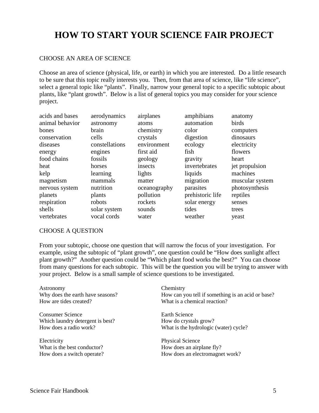## **HOW TO START YOUR SCIENCE FAIR PROJECT**

#### CHOOSE AN AREA OF SCIENCE

Choose an area of science (physical, life, or earth) in which you are interested. Do a little research to be sure that this topic really interests you. Then, from that area of science, like "life science", select a general topic like "plants". Finally, narrow your general topic to a specific subtopic about plants, like "plant growth". Below is a list of general topics you may consider for your science project.

| acids and bases | aerodynamics   | airplanes    | amphibians       | anatomy         |
|-----------------|----------------|--------------|------------------|-----------------|
| animal behavior | astronomy      | atoms        | automation       | birds           |
| bones           | brain          | chemistry    | color            | computers       |
| conservation    | cells          | crystals     | digestion        | dinosaurs       |
| diseases        | constellations | environment  | ecology          | electricity     |
| energy          | engines        | first aid    | fish             | flowers         |
| food chains     | fossils        | geology      | gravity          | heart           |
| heat            | horses         | insects      | invertebrates    | jet propulsion  |
| kelp            | learning       | lights       | liquids          | machines        |
| magnetism       | mammals        | matter       | migration        | muscular system |
| nervous system  | nutrition      | oceanography | parasites        | photosynthesis  |
| planets         | plants         | pollution    | prehistoric life | reptiles        |
| respiration     | robots         | rockets      | solar energy     | senses          |
| shells          | solar system   | sounds       | tides            | trees           |
| vertebrates     | vocal cords    | water        | weather          | yeast           |

#### CHOOSE A QUESTION

From your subtopic, choose one question that will narrow the focus of your investigation. For example, using the subtopic of "plant growth", one question could be "How does sunlight affect plant growth?" Another question could be "Which plant food works the best?" You can choose from many questions for each subtopic. This will be the question you will be trying to answer with your project. Below is a small sample of science questions to be investigated.

| Astronomy                        | Chemistry                                         |  |  |
|----------------------------------|---------------------------------------------------|--|--|
| Why does the earth have seasons? | How can you tell if something is an acid or base? |  |  |
| How are tides created?           | What is a chemical reaction?                      |  |  |
| Consumer Science                 | Earth Science                                     |  |  |
| Which laundry detergent is best? | How do crystals grow?                             |  |  |
| How does a radio work?           | What is the hydrologic (water) cycle?             |  |  |
| Electricity                      | <b>Physical Science</b>                           |  |  |
| What is the best conductor?      | How does an airplane fly?                         |  |  |
| How does a switch operate?       | How does an electromagnet work?                   |  |  |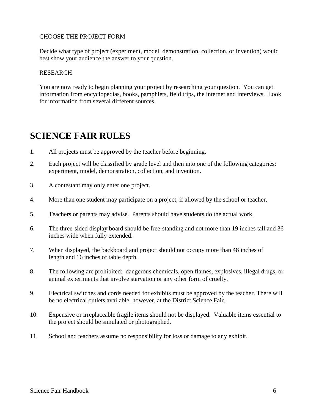#### CHOOSE THE PROJECT FORM

Decide what type of project (experiment, model, demonstration, collection, or invention) would best show your audience the answer to your question.

#### RESEARCH

You are now ready to begin planning your project by researching your question. You can get information from encyclopedias, books, pamphlets, field trips, the internet and interviews. Look for information from several different sources.

## **SCIENCE FAIR RULES**

- 1. All projects must be approved by the teacher before beginning.
- 2. Each project will be classified by grade level and then into one of the following categories: experiment, model, demonstration, collection, and invention.
- 3. A contestant may only enter one project.
- 4. More than one student may participate on a project, if allowed by the school or teacher.
- 5. Teachers or parents may advise. Parents should have students do the actual work.
- 6. The three-sided display board should be free-standing and not more than 19 inches tall and 36 inches wide when fully extended.
- 7. When displayed, the backboard and project should not occupy more than 48 inches of length and 16 inches of table depth.
- 8. The following are prohibited: dangerous chemicals, open flames, explosives, illegal drugs, or animal experiments that involve starvation or any other form of cruelty.
- 9. Electrical switches and cords needed for exhibits must be approved by the teacher. There will be no electrical outlets available, however, at the District Science Fair.
- 10. Expensive or irreplaceable fragile items should not be displayed. Valuable items essential to the project should be simulated or photographed.
- 11. School and teachers assume no responsibility for loss or damage to any exhibit.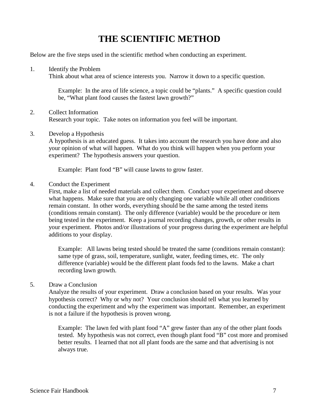## **THE SCIENTIFIC METHOD**

Below are the five steps used in the scientific method when conducting an experiment.

1. Identify the Problem

Think about what area of science interests you. Narrow it down to a specific question.

Example: In the area of life science, a topic could be "plants." A specific question could be, "What plant food causes the fastest lawn growth?"

#### 2. Collect Information Research your topic. Take notes on information you feel will be important.

#### 3. Develop a Hypothesis

A hypothesis is an educated guess. It takes into account the research you have done and also your opinion of what will happen. What do you think will happen when you perform your experiment? The hypothesis answers your question.

Example: Plant food "B" will cause lawns to grow faster.

4. Conduct the Experiment

First, make a list of needed materials and collect them. Conduct your experiment and observe what happens. Make sure that you are only changing one variable while all other conditions remain constant. In other words, everything should be the same among the tested items (conditions remain constant). The only difference (variable) would be the procedure or item being tested in the experiment. Keep a journal recording changes, growth, or other results in your experiment. Photos and/or illustrations of your progress during the experiment are helpful additions to your display.

Example: All lawns being tested should be treated the same (conditions remain constant): same type of grass, soil, temperature, sunlight, water, feeding times, etc. The only difference (variable) would be the different plant foods fed to the lawns. Make a chart recording lawn growth.

#### 5. Draw a Conclusion

Analyze the results of your experiment. Draw a conclusion based on your results. Was your hypothesis correct? Why or why not? Your conclusion should tell what you learned by conducting the experiment and why the experiment was important. Remember, an experiment is not a failure if the hypothesis is proven wrong.

Example: The lawn fed with plant food "A" grew faster than any of the other plant foods tested. My hypothesis was not correct, even though plant food "B" cost more and promised better results. I learned that not all plant foods are the same and that advertising is not always true.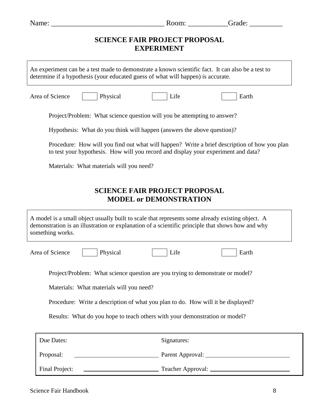| Name:                                                                                                                                                                                                                    | Room:                                                                 | Grade:                                         |
|--------------------------------------------------------------------------------------------------------------------------------------------------------------------------------------------------------------------------|-----------------------------------------------------------------------|------------------------------------------------|
|                                                                                                                                                                                                                          | <b>SCIENCE FAIR PROJECT PROPOSAL</b><br><b>EXPERIMENT</b>             |                                                |
| An experiment can be a test made to demonstrate a known scientific fact. It can also be a test to<br>determine if a hypothesis (your educated guess of what will happen) is accurate.                                    |                                                                       |                                                |
| Area of Science<br>Physical                                                                                                                                                                                              | Life                                                                  | Earth                                          |
| Project/Problem: What science question will you be attempting to answer?                                                                                                                                                 |                                                                       |                                                |
| Hypothesis: What do you think will happen (answers the above question)?                                                                                                                                                  |                                                                       |                                                |
| Procedure: How will you find out what will happen? Write a brief description of how you plan<br>to test your hypothesis. How will you record and display your experiment and data?                                       |                                                                       |                                                |
| Materials: What materials will you need?                                                                                                                                                                                 |                                                                       |                                                |
|                                                                                                                                                                                                                          | <b>SCIENCE FAIR PROJECT PROPOSAL</b><br><b>MODEL or DEMONSTRATION</b> |                                                |
| A model is a small object usually built to scale that represents some already existing object. A<br>demonstration is an illustration or explanation of a scientific principle that shows how and why<br>something works. |                                                                       |                                                |
| Area of Science<br>Physical                                                                                                                                                                                              | Life                                                                  | Earth                                          |
| Project/Problem: What science question are you trying to demonstrate or model?                                                                                                                                           |                                                                       |                                                |
| Materials: What materials will you need?                                                                                                                                                                                 |                                                                       |                                                |
| Procedure: Write a description of what you plan to do. How will it be displayed?                                                                                                                                         |                                                                       |                                                |
| Results: What do you hope to teach others with your demonstration or model?                                                                                                                                              |                                                                       |                                                |
| Due Dates:                                                                                                                                                                                                               | Signatures:                                                           |                                                |
| Proposal:                                                                                                                                                                                                                |                                                                       | Parent Approval: 2008. [2010] Parent Approval: |
|                                                                                                                                                                                                                          |                                                                       |                                                |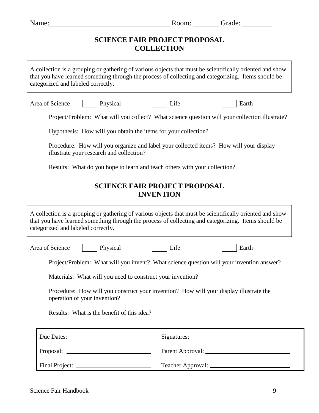|                                                                                       |                                                                                                     | Room: Grade:                                                                                             |
|---------------------------------------------------------------------------------------|-----------------------------------------------------------------------------------------------------|----------------------------------------------------------------------------------------------------------|
|                                                                                       | <b>SCIENCE FAIR PROJECT PROPOSAL</b><br><b>COLLECTION</b>                                           |                                                                                                          |
| categorized and labeled correctly.                                                    | that you have learned something through the process of collecting and categorizing. Items should be | A collection is a grouping or gathering of various objects that must be scientifically oriented and show |
| Area of Science                                                                       | Physical<br>Life                                                                                    | Earth                                                                                                    |
|                                                                                       |                                                                                                     | Project/Problem: What will you collect? What science question will your collection illustrate?           |
|                                                                                       | Hypothesis: How will you obtain the items for your collection?                                      |                                                                                                          |
| illustrate your research and collection?                                              | Procedure: How will you organize and label your collected items? How will your display              |                                                                                                          |
|                                                                                       | Results: What do you hope to learn and teach others with your collection?                           |                                                                                                          |
|                                                                                       | <b>SCIENCE FAIR PROJECT PROPOSAL</b><br><b>INVENTION</b>                                            |                                                                                                          |
|                                                                                       |                                                                                                     |                                                                                                          |
|                                                                                       | that you have learned something through the process of collecting and categorizing. Items should be | A collection is a grouping or gathering of various objects that must be scientifically oriented and show |
|                                                                                       | Physical<br>Life                                                                                    | Earth                                                                                                    |
|                                                                                       | Project/Problem: What will you invent? What science question will your invention answer?            |                                                                                                          |
|                                                                                       | Materials: What will you need to construct your invention?                                          |                                                                                                          |
| categorized and labeled correctly.<br>Area of Science<br>operation of your invention? | Procedure: How will you construct your invention? How will your display illustrate the              |                                                                                                          |
| Results: What is the benefit of this idea?                                            |                                                                                                     |                                                                                                          |
| Due Dates:                                                                            | Signatures:                                                                                         |                                                                                                          |
|                                                                                       |                                                                                                     |                                                                                                          |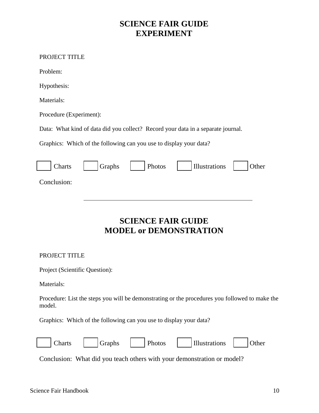## **SCIENCE FAIR GUIDE EXPERIMENT**

#### PROJECT TITLE

Problem:

Hypothesis:

Materials:

Procedure (Experiment):

Data: What kind of data did you collect? Record your data in a separate journal.

Graphics: Which of the following can you use to display your data?

| Charts      | Graphs | Photos | Illustrations | Other |
|-------------|--------|--------|---------------|-------|
| Conclusion: |        |        |               |       |

## **SCIENCE FAIR GUIDE MODEL or DEMONSTRATION**

#### PROJECT TITLE

Project (Scientific Question):

Materials:

Procedure: List the steps you will be demonstrating or the procedures you followed to make the model.

Graphics: Which of the following can you use to display your data?

| $\sim$<br>  Charts | $\Box$ Graphs | Photos | $\vert$   Illustrations   $\vert$ | $\vert$ Other |
|--------------------|---------------|--------|-----------------------------------|---------------|
|                    |               |        |                                   |               |

Conclusion: What did you teach others with your demonstration or model?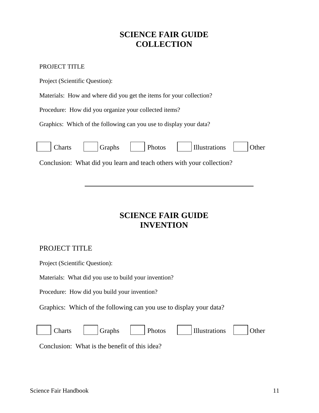## **SCIENCE FAIR GUIDE COLLECTION**

#### PROJECT TITLE

Project (Scientific Question):

Materials: How and where did you get the items for your collection?

Procedure: How did you organize your collected items?

Graphics: Which of the following can you use to display your data?

|  | Conclusion: What did you learn and teach others with your collection? |  |
|--|-----------------------------------------------------------------------|--|

## **SCIENCE FAIR GUIDE INVENTION**

#### PROJECT TITLE

Project (Scientific Question):

Materials: What did you use to build your invention?

Procedure: How did you build your invention?

Graphics: Which of the following can you use to display your data?



Conclusion: What is the benefit of this idea?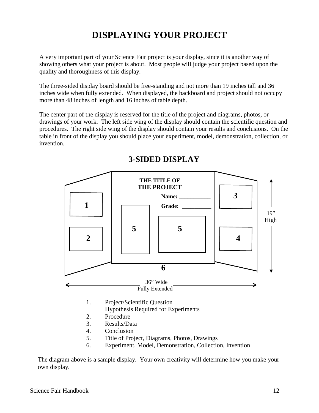## **DISPLAYING YOUR PROJECT**

A very important part of your Science Fair project is your display, since it is another way of showing others what your project is about. Most people will judge your project based upon the quality and thoroughness of this display.

The three-sided display board should be free-standing and not more than 19 inches tall and 36 inches wide when fully extended. When displayed, the backboard and project should not occupy more than 48 inches of length and 16 inches of table depth.

The center part of the display is reserved for the title of the project and diagrams, photos, or drawings of your work. The left side wing of the display should contain the scientific question and procedures. The right side wing of the display should contain your results and conclusions. On the table in front of the display you should place your experiment, model, demonstration, collection, or invention.



## **3-SIDED DISPLAY**

6. Experiment, Model, Demonstration, Collection, Invention

 The diagram above is a sample display. Your own creativity will determine how you make your own display.